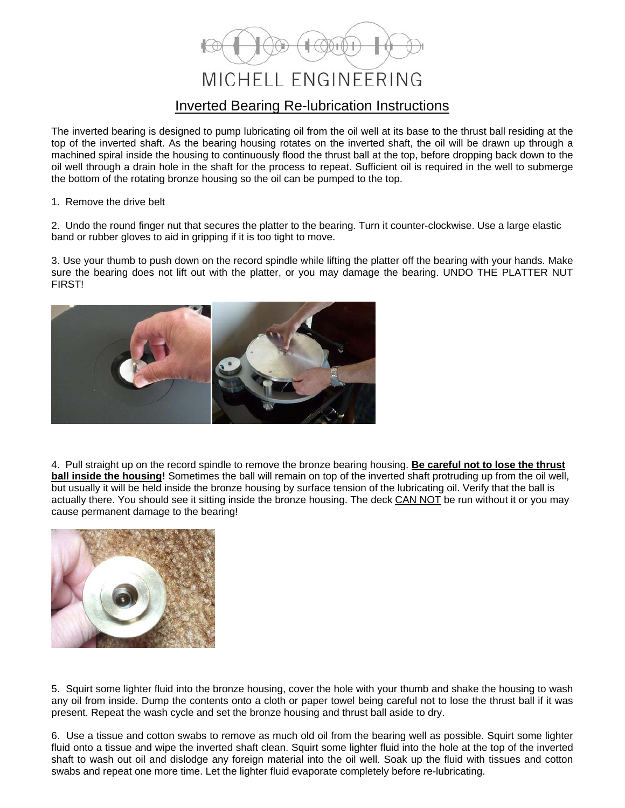## MICHELL ENGINEERING Inverted Bearing Re-lubrication Instructions

The inverted bearing is designed to pump lubricating oil from the oil well at its base to the thrust ball residing at the top of the inverted shaft. As the bearing housing rotates on the inverted shaft, the oil will be drawn up through a machined spiral inside the housing to continuously flood the thrust ball at the top, before dropping back down to the oil well through a drain hole in the shaft for the process to repeat. Sufficient oil is required in the well to submerge the bottom of the rotating bronze housing so the oil can be pumped to the top.

## 1. Remove the drive belt

2. Undo the round finger nut that secures the platter to the bearing. Turn it counter-clockwise. Use a large elastic band or rubber gloves to aid in gripping if it is too tight to move.

3. Use your thumb to push down on the record spindle while lifting the platter off the bearing with your hands. Make sure the bearing does not lift out with the platter, or you may damage the bearing. UNDO THE PLATTER NUT FIRST!



4. Pull straight up on the record spindle to remove the bronze bearing housing. **Be careful not to lose the thrust ball inside the housing!** Sometimes the ball will remain on top of the inverted shaft protruding up from the oil well, but usually it will be held inside the bronze housing by surface tension of the lubricating oil. Verify that the ball is actually there. You should see it sitting inside the bronze housing. The deck CAN NOT be run without it or you may cause permanent damage to the bearing!



5. Squirt some lighter fluid into the bronze housing, cover the hole with your thumb and shake the housing to wash any oil from inside. Dump the contents onto a cloth or paper towel being careful not to lose the thrust ball if it was present. Repeat the wash cycle and set the bronze housing and thrust ball aside to dry.

6. Use a tissue and cotton swabs to remove as much old oil from the bearing well as possible. Squirt some lighter fluid onto a tissue and wipe the inverted shaft clean. Squirt some lighter fluid into the hole at the top of the inverted shaft to wash out oil and dislodge any foreign material into the oil well. Soak up the fluid with tissues and cotton swabs and repeat one more time. Let the lighter fluid evaporate completely before re-lubricating.